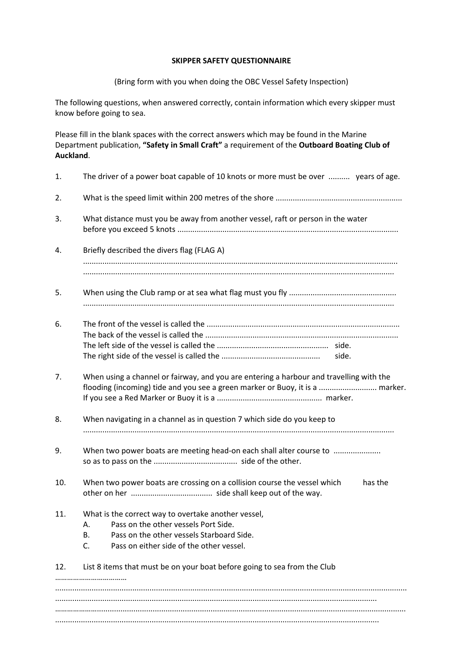## **SKIPPER SAFETY QUESTIONNAIRE**

(Bring form with you when doing the OBC Vessel Safety Inspection)

The following questions, when answered correctly, contain information which every skipper must know before going to sea.

Please fill in the blank spaces with the correct answers which may be found in the Marine Department publication, **"Safety in Small Craft"** a requirement of the **Outboard Boating Club of Auckland**.

| 1.  | The driver of a power boat capable of 10 knots or more must be over  years of age.                                                                                                                     |
|-----|--------------------------------------------------------------------------------------------------------------------------------------------------------------------------------------------------------|
| 2.  |                                                                                                                                                                                                        |
| 3.  | What distance must you be away from another vessel, raft or person in the water                                                                                                                        |
| 4.  | Briefly described the divers flag (FLAG A)                                                                                                                                                             |
| 5.  |                                                                                                                                                                                                        |
| 6.  | side.                                                                                                                                                                                                  |
| 7.  | When using a channel or fairway, and you are entering a harbour and travelling with the<br>flooding (incoming) tide and you see a green marker or Buoy, it is a  marker.                               |
| 8.  | When navigating in a channel as in question 7 which side do you keep to                                                                                                                                |
| 9.  | When two power boats are meeting head-on each shall alter course to                                                                                                                                    |
| 10. | When two power boats are crossing on a collision course the vessel which<br>has the                                                                                                                    |
| 11. | What is the correct way to overtake another vessel,<br>Pass on the other vessels Port Side.<br>Α.<br>Pass on the other vessels Starboard Side.<br>В.<br>Pass on either side of the other vessel.<br>C. |
| 12. | List 8 items that must be on your boat before going to sea from the Club                                                                                                                               |
|     |                                                                                                                                                                                                        |
|     |                                                                                                                                                                                                        |
|     |                                                                                                                                                                                                        |
|     |                                                                                                                                                                                                        |